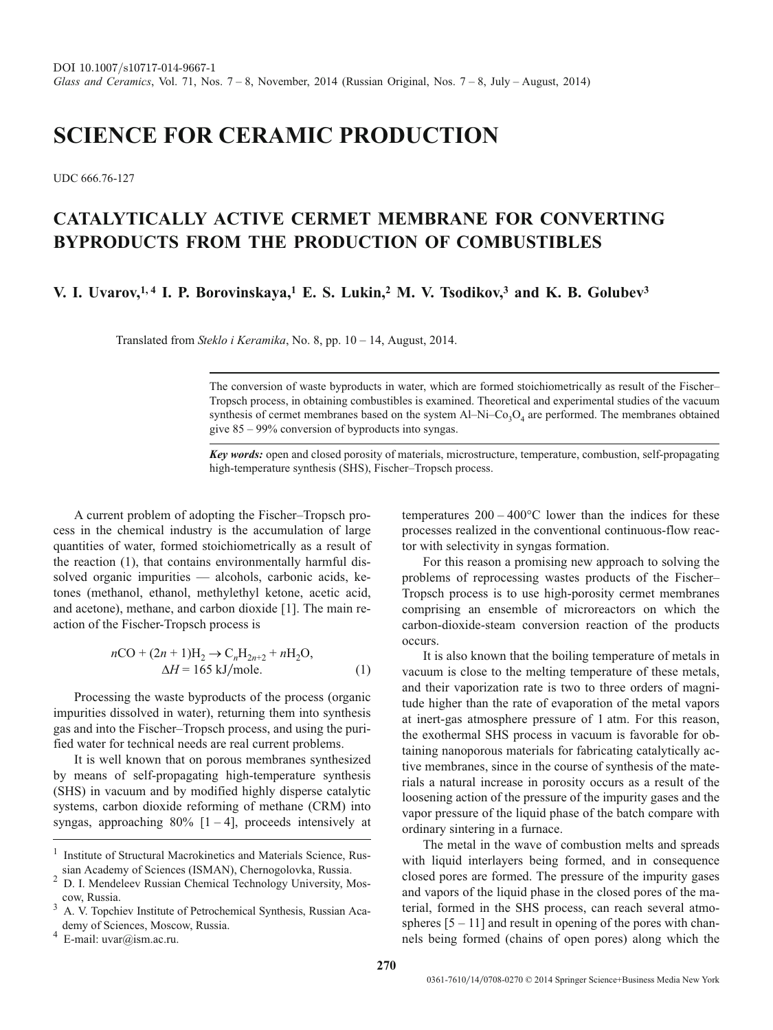# **SCIENCE FOR CERAMIC PRODUCTION**

UDC 666.76-127

## **CATALYTICALLY ACTIVE CERMET MEMBRANE FOR CONVERTING BYPRODUCTS FROM THE PRODUCTION OF COMBUSTIBLES**

### **V. I. Uvarov,1, 4 I. P. Borovinskaya,1 E. S. Lukin,2 M. V. Tsodikov,3 and K. B. Golubev3**

Translated from *Steklo i Keramika*, No. 8, pp. 10 – 14, August, 2014.

The conversion of waste byproducts in water, which are formed stoichiometrically as result of the Fischer– Tropsch process, in obtaining combustibles is examined. Theoretical and experimental studies of the vacuum synthesis of cermet membranes based on the system  $Al-Ni-Co<sub>3</sub>O<sub>4</sub>$  are performed. The membranes obtained give 85 – 99% conversion of byproducts into syngas.

*Key words:* open and closed porosity of materials, microstructure, temperature, combustion, self-propagating high-temperature synthesis (SHS), Fischer–Tropsch process.

A current problem of adopting the Fischer–Tropsch process in the chemical industry is the accumulation of large quantities of water, formed stoichiometrically as a result of the reaction (1), that contains environmentally harmful dissolved organic impurities — alcohols, carbonic acids, ketones (methanol, ethanol, methylethyl ketone, acetic acid, and acetone), methane, and carbon dioxide [1]. The main reaction of the Fischer-Tropsch process is

$$
nCO + (2n + 1)H2 \rightarrow CnH2n+2 + nH2O,
$$
  
\n
$$
\Delta H = 165 \text{ kJ/mole.}
$$
 (1)

Processing the waste byproducts of the process (organic impurities dissolved in water), returning them into synthesis gas and into the Fischer–Tropsch process, and using the purified water for technical needs are real current problems.

It is well known that on porous membranes synthesized by means of self-propagating high-temperature synthesis (SHS) in vacuum and by modified highly disperse catalytic systems, carbon dioxide reforming of methane (CRM) into syngas, approaching  $80\%$  [1 – 4], proceeds intensively at temperatures  $200 - 400^{\circ}$ C lower than the indices for these processes realized in the conventional continuous-flow reactor with selectivity in syngas formation.

For this reason a promising new approach to solving the problems of reprocessing wastes products of the Fischer– Tropsch process is to use high-porosity cermet membranes comprising an ensemble of microreactors on which the carbon-dioxide-steam conversion reaction of the products occurs.

It is also known that the boiling temperature of metals in vacuum is close to the melting temperature of these metals, and their vaporization rate is two to three orders of magnitude higher than the rate of evaporation of the metal vapors at inert-gas atmosphere pressure of 1 atm. For this reason, the exothermal SHS process in vacuum is favorable for obtaining nanoporous materials for fabricating catalytically active membranes, since in the course of synthesis of the materials a natural increase in porosity occurs as a result of the loosening action of the pressure of the impurity gases and the vapor pressure of the liquid phase of the batch compare with ordinary sintering in a furnace.

The metal in the wave of combustion melts and spreads with liquid interlayers being formed, and in consequence closed pores are formed. The pressure of the impurity gases and vapors of the liquid phase in the closed pores of the material, formed in the SHS process, can reach several atmospheres  $[5 - 11]$  and result in opening of the pores with channels being formed (chains of open pores) along which the

<sup>1</sup> Institute of Structural Macrokinetics and Materials Science, Rus-

sian Academy of Sciences (ISMAN), Chernogolovka, Russia. <sup>2</sup> D. I. Mendeleev Russian Chemical Technology University, Moscow, Russia.

<sup>&</sup>lt;sup>3</sup> A. V. Topchiev Institute of Petrochemical Synthesis, Russian Academy of Sciences, Moscow, Russia.

 $^{4}$  E-mail: uvar@ism.ac.ru.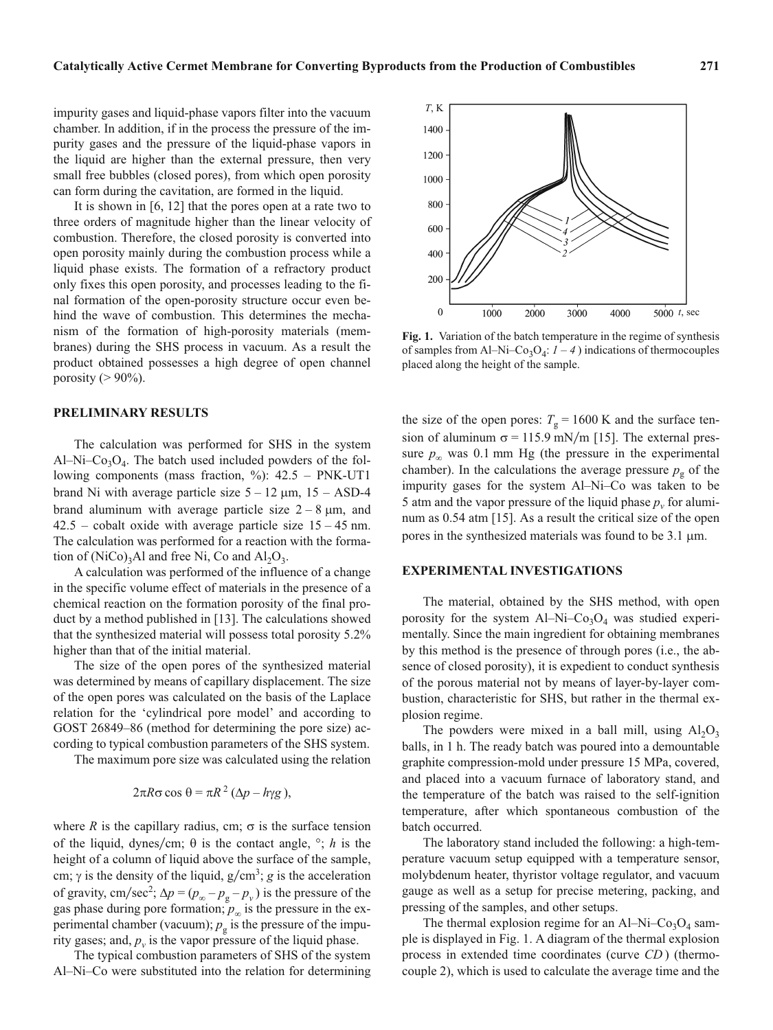impurity gases and liquid-phase vapors filter into the vacuum chamber. In addition, if in the process the pressure of the impurity gases and the pressure of the liquid-phase vapors in the liquid are higher than the external pressure, then very small free bubbles (closed pores), from which open porosity can form during the cavitation, are formed in the liquid.

It is shown in [6, 12] that the pores open at a rate two to three orders of magnitude higher than the linear velocity of combustion. Therefore, the closed porosity is converted into open porosity mainly during the combustion process while a liquid phase exists. The formation of a refractory product only fixes this open porosity, and processes leading to the final formation of the open-porosity structure occur even behind the wave of combustion. This determines the mechanism of the formation of high-porosity materials (membranes) during the SHS process in vacuum. As a result the product obtained possesses a high degree of open channel porosity ( $> 90\%$ ).

#### **PRELIMINARY RESULTS**

The calculation was performed for SHS in the system Al–Ni– $Co<sub>3</sub>O<sub>4</sub>$ . The batch used included powders of the following components (mass fraction, %): 42.5 – PNK-UT1 brand Ni with average particle size  $5 - 12 \mu m$ ,  $15 - ASD-4$ brand aluminum with average particle size  $2 - 8 \mu m$ , and  $42.5$  – cobalt oxide with average particle size  $15 - 45$  nm. The calculation was performed for a reaction with the formation of  $(NiCo)_{3}$ Al and free Ni, Co and Al<sub>2</sub>O<sub>3</sub>.

A calculation was performed of the influence of a change in the specific volume effect of materials in the presence of a chemical reaction on the formation porosity of the final product by a method published in [13]. The calculations showed that the synthesized material will possess total porosity 5.2% higher than that of the initial material.

The size of the open pores of the synthesized material was determined by means of capillary displacement. The size of the open pores was calculated on the basis of the Laplace relation for the 'cylindrical pore model' and according to GOST 26849–86 (method for determining the pore size) according to typical combustion parameters of the SHS system.

The maximum pore size was calculated using the relation

$$
2\pi R\sigma\cos\theta = \pi R^2\left(\Delta p - h\gamma g\right),
$$

where *R* is the capillary radius, cm;  $\sigma$  is the surface tension of the liquid, dynes/cm;  $\theta$  is the contact angle,  $\degree$ ; *h* is the height of a column of liquid above the surface of the sample, cm;  $\gamma$  is the density of the liquid,  $g/cm^3$ ; *g* is the acceleration of gravity, cm/sec<sup>2</sup>;  $\Delta p = (p_{\infty} - p_{g} - p_{v})$  is the pressure of the gas phase during pore formation;  $p_\infty$  is the pressure in the experimental chamber (vacuum);  $p_g$  is the pressure of the impurity gases; and,  $p_{\nu}$  is the vapor pressure of the liquid phase.

The typical combustion parameters of SHS of the system Al–Ni–Co were substituted into the relation for determining



**Fig. 1.** Variation of the batch temperature in the regime of synthesis of samples from Al–Ni–Co<sub>3</sub>O<sub>4</sub>:  $1 - 4$ ) indications of thermocouples placed along the height of the sample.

the size of the open pores:  $T_g = 1600 \text{ K}$  and the surface tension of aluminum  $\sigma = 115.9$  mN/m [15]. The external pressure  $p_\infty$  was 0.1 mm Hg (the pressure in the experimental chamber). In the calculations the average pressure  $p_g$  of the impurity gases for the system Al–Ni–Co was taken to be 5 atm and the vapor pressure of the liquid phase  $p_v$  for aluminum as 0.54 atm [15]. As a result the critical size of the open pores in the synthesized materials was found to be  $3.1 \mu m$ .

#### **EXPERIMENTAL INVESTIGATIONS**

The material, obtained by the SHS method, with open porosity for the system Al–Ni–Co<sub>3</sub>O<sub>4</sub> was studied experimentally. Since the main ingredient for obtaining membranes by this method is the presence of through pores (i.e., the absence of closed porosity), it is expedient to conduct synthesis of the porous material not by means of layer-by-layer combustion, characteristic for SHS, but rather in the thermal explosion regime.

The powders were mixed in a ball mill, using  $Al_2O_3$ balls, in 1 h. The ready batch was poured into a demountable graphite compression-mold under pressure 15 MPa, covered, and placed into a vacuum furnace of laboratory stand, and the temperature of the batch was raised to the self-ignition temperature, after which spontaneous combustion of the batch occurred.

The laboratory stand included the following: a high-temperature vacuum setup equipped with a temperature sensor, molybdenum heater, thyristor voltage regulator, and vacuum gauge as well as a setup for precise metering, packing, and pressing of the samples, and other setups.

The thermal explosion regime for an Al–Ni–Co<sub>3</sub>O<sub>4</sub> sample is displayed in Fig. 1. A diagram of the thermal explosion process in extended time coordinates (curve *CD* ) (thermocouple 2), which is used to calculate the average time and the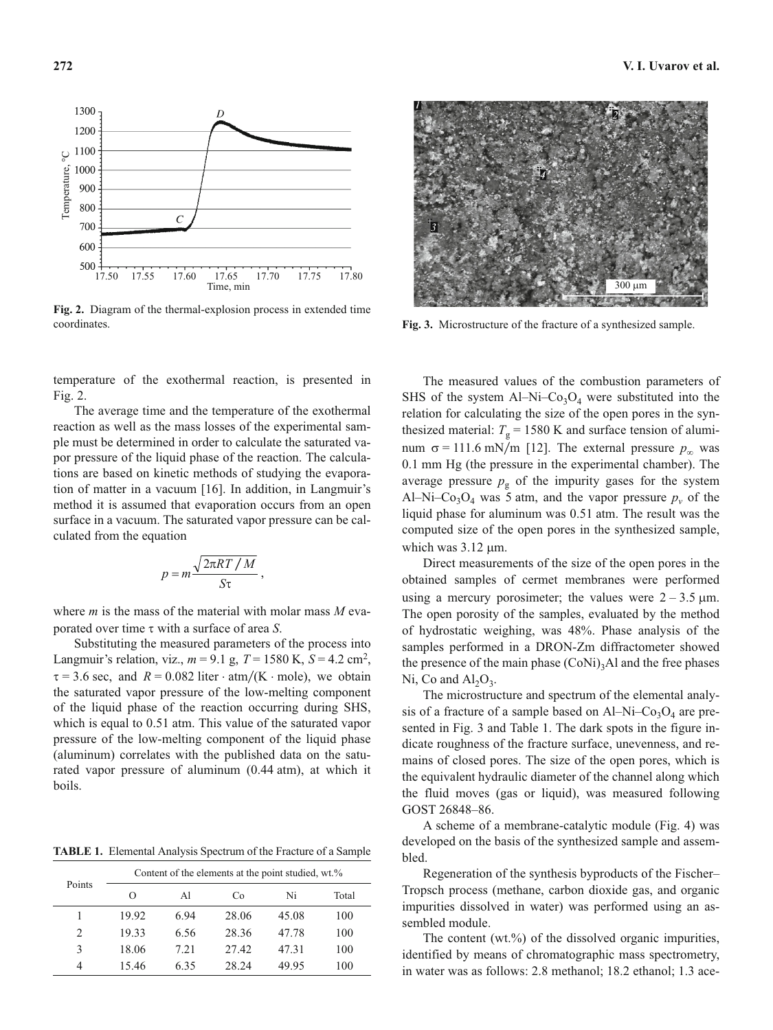

**Fig. 2.** Diagram of the thermal-explosion process in extended time coordinates.

temperature of the exothermal reaction, is presented in Fig. 2.

The average time and the temperature of the exothermal reaction as well as the mass losses of the experimental sample must be determined in order to calculate the saturated vapor pressure of the liquid phase of the reaction. The calculations are based on kinetic methods of studying the evaporation of matter in a vacuum [16]. In addition, in Langmuir's method it is assumed that evaporation occurs from an open surface in a vacuum. The saturated vapor pressure can be calculated from the equation

$$
p = m \frac{\sqrt{2\pi RT/M}}{S\tau},
$$

where *m* is the mass of the material with molar mass *M* evaporated over time  $\tau$  with a surface of area *S*.

Substituting the measured parameters of the process into Langmuir's relation, viz.,  $m = 9.1$  g,  $T = 1580$  K,  $S = 4.2$  cm<sup>2</sup>,  $\tau = 3.6$  sec, and  $R = 0.082$  liter  $\cdot$  atm/(K  $\cdot$  mole), we obtain the saturated vapor pressure of the low-melting component of the liquid phase of the reaction occurring during SHS, which is equal to 0.51 atm. This value of the saturated vapor pressure of the low-melting component of the liquid phase (aluminum) correlates with the published data on the saturated vapor pressure of aluminum (0.44 atm), at which it boils.

**TABLE 1.** Elemental Analysis Spectrum of the Fracture of a Sample

| Points | Content of the elements at the point studied, wt.% |      |       |       |       |  |  |
|--------|----------------------------------------------------|------|-------|-------|-------|--|--|
|        | $\Omega$                                           | A1   | Co    | Ni    | Total |  |  |
|        | 19.92                                              | 6.94 | 28.06 | 45.08 | 100   |  |  |
| 2      | 19.33                                              | 6.56 | 28.36 | 47.78 | 100   |  |  |
| 3      | 18.06                                              | 7.21 | 27.42 | 47.31 | 100   |  |  |
| 4      | 15.46                                              | 6.35 | 28.24 | 49.95 | 100   |  |  |



**Fig. 3.** Microstructure of the fracture of a synthesized sample.

The measured values of the combustion parameters of SHS of the system Al–Ni–Co<sub>3</sub>O<sub>4</sub> were substituted into the relation for calculating the size of the open pores in the synthesized material:  $T_g = 1580$  K and surface tension of aluminum  $\sigma = 111.6$  mN/m [12]. The external pressure  $p_\infty$  was 0.1 mm Hg (the pressure in the experimental chamber). The average pressure  $p_g$  of the impurity gases for the system Al–Ni–Co<sub>3</sub>O<sub>4</sub> was 5 atm, and the vapor pressure  $p_v$  of the liquid phase for aluminum was 0.51 atm. The result was the computed size of the open pores in the synthesized sample, which was  $3.12 \mu m$ .

Direct measurements of the size of the open pores in the obtained samples of cermet membranes were performed using a mercury porosimeter; the values were  $2 - 3.5 \mu m$ . The open porosity of the samples, evaluated by the method of hydrostatic weighing, was 48%. Phase analysis of the samples performed in a DRON-Zm diffractometer showed the presence of the main phase  $(CoNi)$ <sub>3</sub>Al and the free phases Ni, Co and  $Al_2O_3$ .

The microstructure and spectrum of the elemental analysis of a fracture of a sample based on  $Al-Ni-Co<sub>3</sub>O<sub>4</sub>$  are presented in Fig. 3 and Table 1. The dark spots in the figure indicate roughness of the fracture surface, unevenness, and remains of closed pores. The size of the open pores, which is the equivalent hydraulic diameter of the channel along which the fluid moves (gas or liquid), was measured following GOST 26848–86.

A scheme of a membrane-catalytic module (Fig. 4) was developed on the basis of the synthesized sample and assembled.

Regeneration of the synthesis byproducts of the Fischer– Tropsch process (methane, carbon dioxide gas, and organic impurities dissolved in water) was performed using an assembled module.

The content (wt.%) of the dissolved organic impurities, identified by means of chromatographic mass spectrometry, in water was as follows: 2.8 methanol; 18.2 ethanol; 1.3 ace-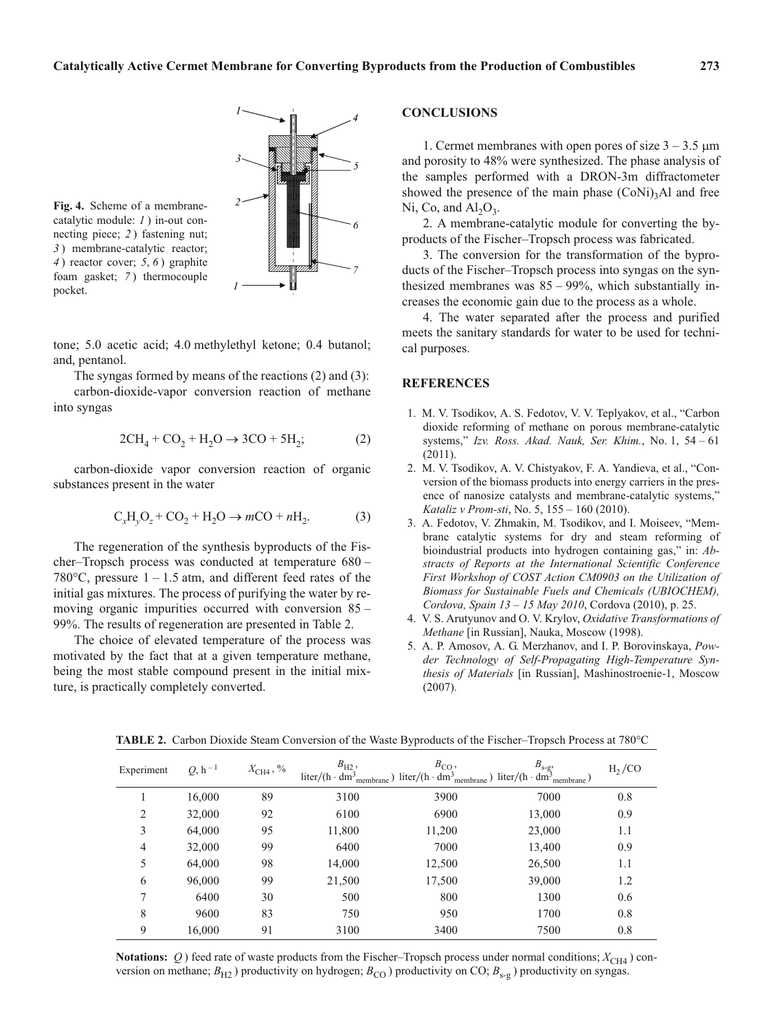

**Fig. 4.** Scheme of a membranecatalytic module: *1* ) in-out connecting piece; *2* ) fastening nut; *3* ) membrane-catalytic reactor; *4* ) reactor cover; *5*, *6* ) graphite foam gasket; *7* ) thermocouple pocket.

tone; 5.0 acetic acid; 4.0 methylethyl ketone; 0.4 butanol; and, pentanol.

The syngas formed by means of the reactions (2) and (3): carbon-dioxide-vapor conversion reaction of methane into syngas

$$
2\text{CH}_4 + \text{CO}_2 + \text{H}_2\text{O} \rightarrow 3\text{CO} + 5\text{H}_2;\tag{2}
$$

carbon-dioxide vapor conversion reaction of organic substances present in the water

$$
C_xH_yO_z + CO_2 + H_2O \to mCO + nH_2.
$$
 (3)

The regeneration of the synthesis byproducts of the Fischer–Tropsch process was conducted at temperature 680 – 780 $^{\circ}$ C, pressure 1 – 1.5 atm, and different feed rates of the initial gas mixtures. The process of purifying the water by removing organic impurities occurred with conversion 85 – 99%. The results of regeneration are presented in Table 2.

The choice of elevated temperature of the process was motivated by the fact that at a given temperature methane, being the most stable compound present in the initial mixture, is practically completely converted.

#### **CONCLUSIONS**

1. Cermet membranes with open pores of size  $3 - 3.5 \mu m$ and porosity to 48% were synthesized. The phase analysis of the samples performed with a DRON-3m diffractometer showed the presence of the main phase  $(CoNi)<sub>3</sub>Al$  and free Ni, Co, and  $Al_2O_3$ .

2. A membrane-catalytic module for converting the byproducts of the Fischer–Tropsch process was fabricated.

3. The conversion for the transformation of the byproducts of the Fischer–Tropsch process into syngas on the synthesized membranes was 85 – 99%, which substantially increases the economic gain due to the process as a whole.

4. The water separated after the process and purified meets the sanitary standards for water to be used for technical purposes.

#### **REFERENCES**

- 1. M. V. Tsodikov, A. S. Fedotov, V. V. Teplyakov, et al., "Carbon dioxide reforming of methane on porous membrane-catalytic systems," *Izv. Ross. Akad. Nauk, Ser. Khim.*, No. 1, 54 – 61 (2011).
- 2. M. V. Tsodikov, A. V. Chistyakov, F. A. Yandieva, et al., "Conversion of the biomass products into energy carriers in the presence of nanosize catalysts and membrane-catalytic systems," *Kataliz v Prom-sti*, No. 5, 155 – 160 (2010).
- 3. A. Fedotov, V. Zhmakin, M. Tsodikov, and I. Moiseev, "Membrane catalytic systems for dry and steam reforming of bioindustrial products into hydrogen containing gas," in: *Abstracts of Reports at the International Scientific Conference First Workshop of COST Action CM0903 on the Utilization of Biomass for Sustainable Fuels and Chemicals (UBIOCHEM), Cordova, Spain 13 – 15 May 2010*, Cordova (2010), p. 25.
- 4. V. S. Arutyunov and O. V. Krylov, *Oxidative Transformations of Methane* [in Russian], Nauka, Moscow (1998).
- 5. A. P. Amosov, A. G. Merzhanov, and I. P. Borovinskaya, *Powder Technology of Self-Propagating High-Temperature Synthesis of Materials* [in Russian], Mashinostroenie-1, Moscow (2007).

| Experiment     | $Q, h^{-1}$ | $X_{\text{CH4}}$ , % | $B_{\text{H2}}$ , | $B_{\rm CO}$ ,<br>$\text{liter/(h} \cdot dm^3_{\text{membrane}}) \text{ liter/(h} \cdot dm^3_{\text{membrane}}) \text{ liter/(h} \cdot dm^3_{\text{membrane}})$ | $B_{s-g},$ | H <sub>2</sub> /CO |
|----------------|-------------|----------------------|-------------------|-----------------------------------------------------------------------------------------------------------------------------------------------------------------|------------|--------------------|
|                | 16,000      | 89                   | 3100              | 3900                                                                                                                                                            | 7000       | 0.8                |
| $\overline{c}$ | 32,000      | 92                   | 6100              | 6900                                                                                                                                                            | 13,000     | 0.9                |
| 3              | 64,000      | 95                   | 11,800            | 11,200                                                                                                                                                          | 23,000     | 1.1                |
| 4              | 32,000      | 99                   | 6400              | 7000                                                                                                                                                            | 13,400     | 0.9                |
| 5              | 64,000      | 98                   | 14,000            | 12,500                                                                                                                                                          | 26,500     | 1.1                |
| 6              | 96,000      | 99                   | 21,500            | 17,500                                                                                                                                                          | 39,000     | 1.2                |
| 7              | 6400        | 30                   | 500               | 800                                                                                                                                                             | 1300       | 0.6                |
| 8              | 9600        | 83                   | 750               | 950                                                                                                                                                             | 1700       | 0.8                |
| 9              | 16,000      | 91                   | 3100              | 3400                                                                                                                                                            | 7500       | 0.8                |

**TABLE 2.** Carbon Dioxide Steam Conversion of the Waste Byproducts of the Fischer–Tropsch Process at 780°C

**Notations:**  $Q$ ) feed rate of waste products from the Fischer–Tropsch process under normal conditions;  $X_{CH4}$ ) conversion on methane;  $B_{H2}$ ) productivity on hydrogen;  $B_{CO}$ ) productivity on CO;  $B_{s-g}$ ) productivity on syngas.